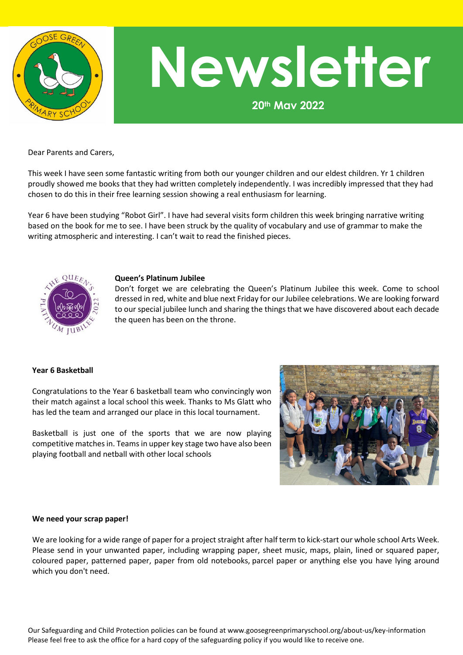

# **Newsletter**

**20th May 2022**

#### Dear Parents and Carers,

This week I have seen some fantastic writing from both our younger children and our eldest children. Yr 1 children proudly showed me books that they had written completely independently. I was incredibly impressed that they had chosen to do this in their free learning session showing a real enthusiasm for learning.

Year 6 have been studying "Robot Girl". I have had several visits form children this week bringing narrative writing based on the book for me to see. I have been struck by the quality of vocabulary and use of grammar to make the writing atmospheric and interesting. I can't wait to read the finished pieces.



#### **Queen's Platinum Jubilee**

Don't forget we are celebrating the Queen's Platinum Jubilee this week. Come to school dressed in red, white and blue next Friday for our Jubilee celebrations. We are looking forward to our special jubilee lunch and sharing the things that we have discovered about each decade the queen has been on the throne.

#### **Year 6 Basketball**

Congratulations to the Year 6 basketball team who convincingly won their match against a local school this week. Thanks to Ms Glatt who has led the team and arranged our place in this local tournament.

Basketball is just one of the sports that we are now playing competitive matches in. Teams in upper key stage two have also been playing football and netball with other local schools



#### **We need your scrap paper!**

We are looking for a wide range of paper for a project straight after half term to kick-start our whole school Arts Week. Please send in your unwanted paper, including wrapping paper, sheet music, maps, plain, lined or squared paper, coloured paper, patterned paper, paper from old notebooks, parcel paper or anything else you have lying around which you don't need.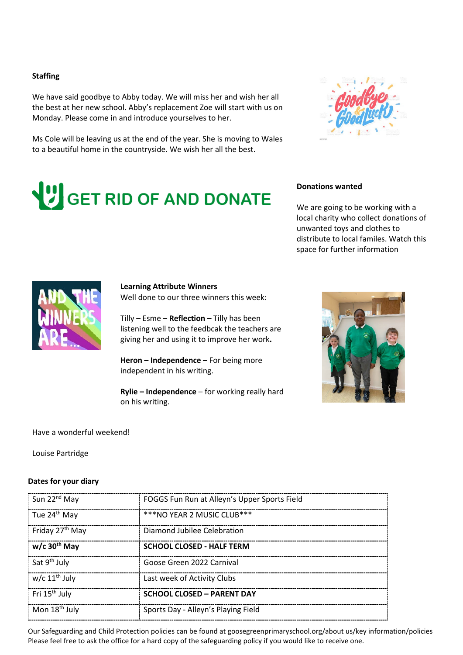#### **Staffing**

We have said goodbye to Abby today. We will miss her and wish her all the best at her new school. Abby's replacement Zoe will start with us on Monday. Please come in and introduce yourselves to her.

Ms Cole will be leaving us at the end of the year. She is moving to Wales to a beautiful home in the countryside. We wish her all the best.



# GET RID OF AND DONATE

### **Donations wanted**

We are going to be working with a local charity who collect donations of unwanted toys and clothes to distribute to local familes. Watch this space for further information



#### **Learning Attribute Winners**

Well done to our three winners this week:

Tilly – Esme – **Reflection –** Tilly has been listening well to the feedbcak the teachers are giving her and using it to improve her work**.** 

**Heron – Independence** – For being more independent in his writing.

**Rylie – Independence** – for working really hard on his writing.



Have a wonderful weekend!

Louise Partridge

#### **Dates for your diary**

| Sun 22 <sup>nd</sup> May    | FOGGS Fun Run at Alleyn's Upper Sports Field |
|-----------------------------|----------------------------------------------|
| Tue 24 <sup>th</sup> May    | $***$ NO YEAR 2 MUSIC CLUB $***$             |
| Friday 27 <sup>th</sup> May | Diamond Jubilee Celebration                  |
| $w/c$ 30 <sup>th</sup> May  | <b>SCHOOL CLOSED - HALF TERM</b>             |
| Sat 9 <sup>th</sup> July    | Goose Green 2022 Carnival                    |
| w/c $11th$ July             | Last week of Activity Clubs                  |
| Fri 15 <sup>th</sup> July   | <b>SCHOOL CLOSED - PARENT DAY</b>            |
| Mon 18 <sup>th</sup> July   | Sports Day - Alleyn's Playing Field          |

Our Safeguarding and Child Protection policies can be found at goosegreenprimaryschool.org/about us/key information/policies Please feel free to ask the office for a hard copy of the safeguarding policy if you would like to receive one.